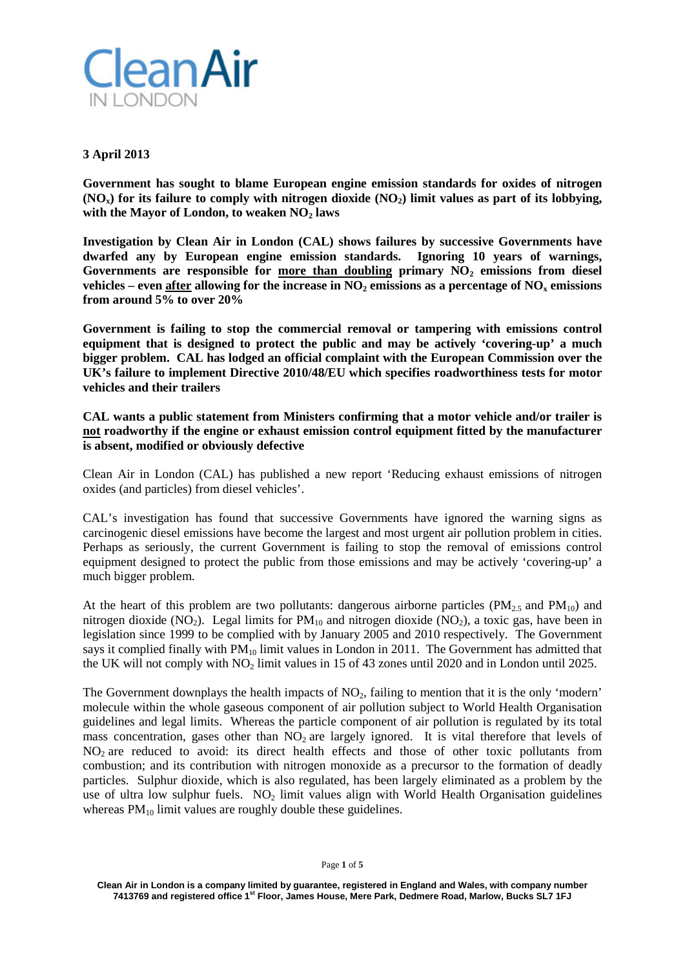

## **3 April 2013**

**Government has sought to blame European engine emission standards for oxides of nitrogen**   $(NO_x)$  for its failure to comply with nitrogen dioxide  $(NO_2)$  limit values as part of its lobbying, with the Mayor of London, to weaken NO<sub>2</sub> laws

**Investigation by Clean Air in London (CAL) shows failures by successive Governments have dwarfed any by European engine emission standards. Ignoring 10 years of warnings,**  Governments are responsible for more than doubling primary NO<sub>2</sub> emissions from diesel **vehicles** – **even after allowing for the increase in**  $NO<sub>2</sub>$  **<b>emissions as a percentage of**  $NO<sub>x</sub>$  **<b>emissions from around 5% to over 20%** 

**Government is failing to stop the commercial removal or tampering with emissions control equipment that is designed to protect the public and may be actively 'covering-up' a much bigger problem. CAL has lodged an official complaint with the European Commission over the UK's failure to implement Directive 2010/48/EU which specifies roadworthiness tests for motor vehicles and their trailers**

**CAL wants a public statement from Ministers confirming that a motor vehicle and/or trailer is not roadworthy if the engine or exhaust emission control equipment fitted by the manufacturer is absent, modified or obviously defective**

Clean Air in London (CAL) has published a new report 'Reducing exhaust emissions of nitrogen oxides (and particles) from diesel vehicles'.

CAL's investigation has found that successive Governments have ignored the warning signs as carcinogenic diesel emissions have become the largest and most urgent air pollution problem in cities. Perhaps as seriously, the current Government is failing to stop the removal of emissions control equipment designed to protect the public from those emissions and may be actively 'covering-up' a much bigger problem.

At the heart of this problem are two pollutants: dangerous airborne particles  $(PM<sub>2.5</sub>$  and  $PM<sub>10</sub>)$  and nitrogen dioxide (NO<sub>2</sub>). Legal limits for  $PM_{10}$  and nitrogen dioxide (NO<sub>2</sub>), a toxic gas, have been in legislation since 1999 to be complied with by January 2005 and 2010 respectively. The Government says it complied finally with  $PM_{10}$  limit values in London in 2011. The Government has admitted that the UK will not comply with  $NO<sub>2</sub>$  limit values in 15 of 43 zones until 2020 and in London until 2025.

The Government downplays the health impacts of  $NO<sub>2</sub>$ , failing to mention that it is the only 'modern' molecule within the whole gaseous component of air pollution subject to World Health Organisation guidelines and legal limits. Whereas the particle component of air pollution is regulated by its total mass concentration, gases other than  $NO<sub>2</sub>$  are largely ignored. It is vital therefore that levels of NO<sub>2</sub> are reduced to avoid: its direct health effects and those of other toxic pollutants from combustion; and its contribution with nitrogen monoxide as a precursor to the formation of deadly particles. Sulphur dioxide, which is also regulated, has been largely eliminated as a problem by the use of ultra low sulphur fuels.  $NO<sub>2</sub>$  limit values align with World Health Organisation guidelines whereas  $PM_{10}$  limit values are roughly double these guidelines.

**Clean Air in London is a company limited by guarantee, registered in England and Wales, with company number 7413769 and registered office 1st Floor, James House, Mere Park, Dedmere Road, Marlow, Bucks SL7 1FJ**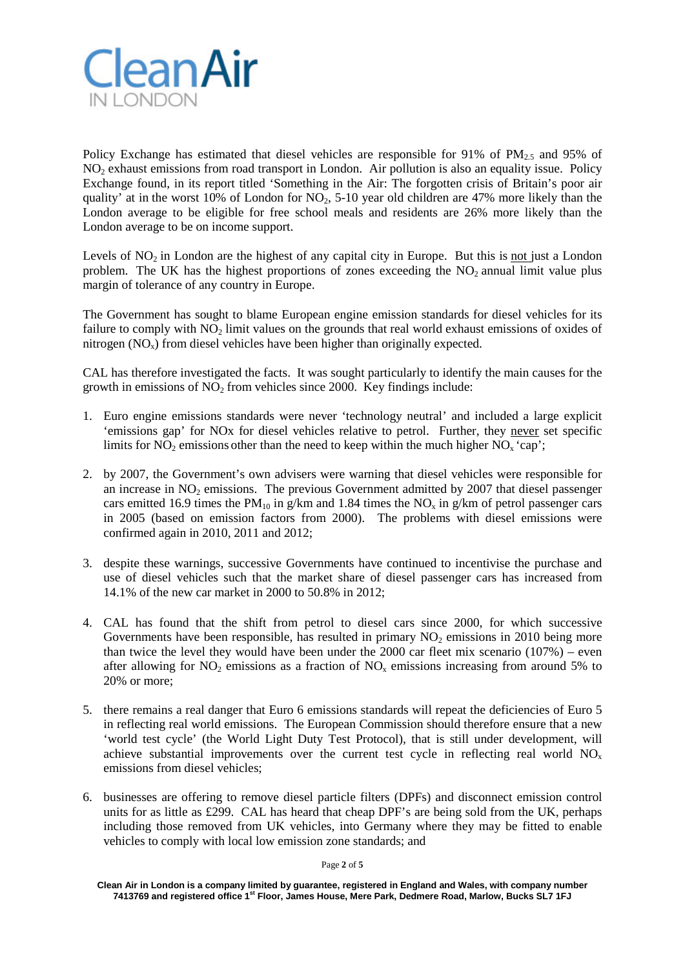

Policy Exchange has estimated that diesel vehicles are responsible for 91% of  $PM_2$ , and 95% of NO2 exhaust emissions from road transport in London. Air pollution is also an equality issue. Policy Exchange found, in its report titled 'Something in the Air: The forgotten crisis of Britain's poor air quality' at in the worst 10% of London for  $NO<sub>2</sub>$ , 5-10 year old children are 47% more likely than the London average to be eligible for free school meals and residents are 26% more likely than the London average to be on income support.

Levels of  $NO<sub>2</sub>$  in London are the highest of any capital city in Europe. But this is not just a London problem. The UK has the highest proportions of zones exceeding the  $NO<sub>2</sub>$  annual limit value plus margin of tolerance of any country in Europe.

The Government has sought to blame European engine emission standards for diesel vehicles for its failure to comply with  $NO<sub>2</sub>$  limit values on the grounds that real world exhaust emissions of oxides of nitrogen  $(NO<sub>x</sub>)$  from diesel vehicles have been higher than originally expected.

CAL has therefore investigated the facts. It was sought particularly to identify the main causes for the growth in emissions of  $NO<sub>2</sub>$  from vehicles since 2000. Key findings include:

- 1. Euro engine emissions standards were never 'technology neutral' and included a large explicit 'emissions gap' for NOx for diesel vehicles relative to petrol. Further, they never set specific limits for  $NO<sub>2</sub>$  emissions other than the need to keep within the much higher  $NO<sub>x</sub>$  'cap';
- 2. by 2007, the Government's own advisers were warning that diesel vehicles were responsible for an increase in  $NO<sub>2</sub>$  emissions. The previous Government admitted by 2007 that diesel passenger cars emitted 16.9 times the PM<sub>10</sub> in g/km and 1.84 times the NO<sub>x</sub> in g/km of petrol passenger cars in 2005 (based on emission factors from 2000).The problems with diesel emissions were confirmed again in 2010, 2011 and 2012;
- 3. despite these warnings, successive Governments have continued to incentivise the purchase and use of diesel vehicles such that the market share of diesel passenger cars has increased from 14.1% of the new car market in 2000 to 50.8% in 2012;
- 4. CAL has found that the shift from petrol to diesel cars since 2000, for which successive Governments have been responsible, has resulted in primary  $NO<sub>2</sub>$  emissions in 2010 being more than twice the level they would have been under the 2000 car fleet mix scenario  $(107%)$  – even after allowing for  $NO_2$  emissions as a fraction of  $NO_x$  emissions increasing from around 5% to 20% or more;
- 5. there remains a real danger that Euro 6 emissions standards will repeat the deficiencies of Euro 5 in reflecting real world emissions. The European Commission should therefore ensure that a new 'world test cycle' (the World Light Duty Test Protocol), that is still under development, will achieve substantial improvements over the current test cycle in reflecting real world  $NO<sub>x</sub>$ emissions from diesel vehicles;
- 6. businesses are offering to remove diesel particle filters (DPFs) and disconnect emission control units for as little as £299. CAL has heard that cheap DPF's are being sold from the UK, perhaps including those removed from UK vehicles, into Germany where they may be fitted to enable vehicles to comply with local low emission zone standards; and

Page **2** of **5**

**Clean Air in London is a company limited by guarantee, registered in England and Wales, with company number 7413769 and registered office 1st Floor, James House, Mere Park, Dedmere Road, Marlow, Bucks SL7 1FJ**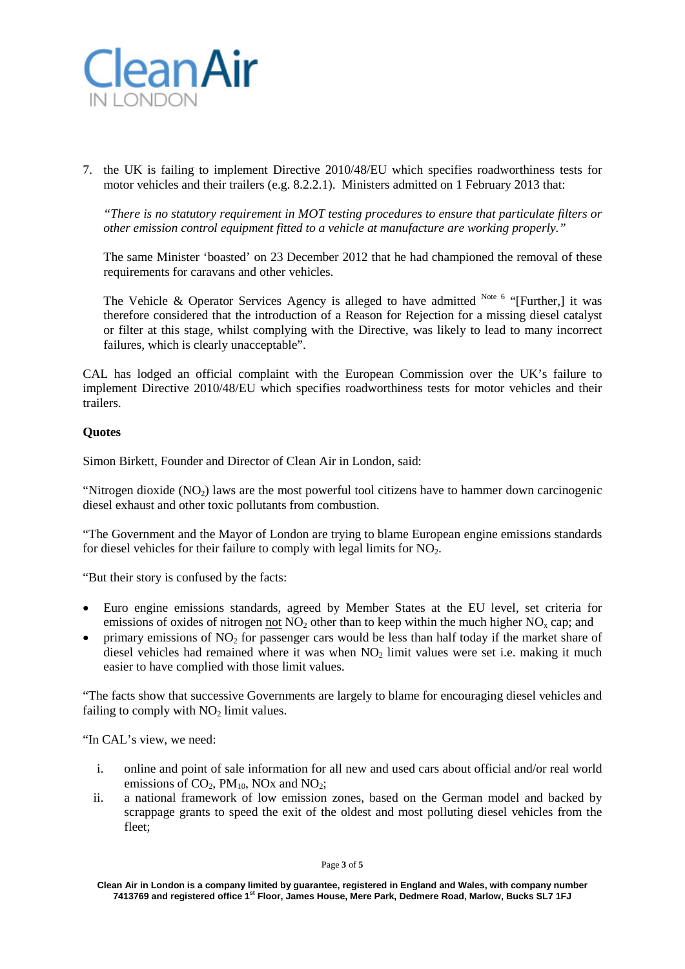

7. the UK is failing to implement Directive 2010/48/EU which specifies roadworthiness tests for motor vehicles and their trailers (e.g. 8.2.2.1). Ministers admitted on 1 February 2013 that:

*"There is no statutory requirement in MOT testing procedures to ensure that particulate filters or other emission control equipment fitted to a vehicle at manufacture are working properly."*

The same Minister 'boasted' on 23 December 2012 that he had championed the removal of these requirements for caravans and other vehicles.

The Vehicle & Operator Services Agency is alleged to have admitted  $N_{\text{ote}}$  6 "[Further,] it was therefore considered that the introduction of a Reason for Rejection for a missing diesel catalyst or filter at this stage, whilst complying with the Directive, was likely to lead to many incorrect failures, which is clearly unacceptable".

CAL has lodged an official complaint with the European Commission over the UK's failure to implement Directive 2010/48/EU which specifies roadworthiness tests for motor vehicles and their trailers.

## **Quotes**

Simon Birkett, Founder and Director of Clean Air in London, said:

"Nitrogen dioxide  $(NO<sub>2</sub>)$  laws are the most powerful tool citizens have to hammer down carcinogenic diesel exhaust and other toxic pollutants from combustion.

"The Government and the Mayor of London are trying to blame European engine emissions standards for diesel vehicles for their failure to comply with legal limits for  $NO<sub>2</sub>$ .

"But their story is confused by the facts:

- Euro engine emissions standards, agreed by Member States at the EU level, set criteria for emissions of oxides of nitrogen not  $NO<sub>2</sub>$  other than to keep within the much higher  $NO<sub>x</sub>$  cap; and
- primary emissions of  $NO<sub>2</sub>$  for passenger cars would be less than half today if the market share of diesel vehicles had remained where it was when  $NO<sub>2</sub>$  limit values were set i.e. making it much easier to have complied with those limit values.

"The facts show that successive Governments are largely to blame for encouraging diesel vehicles and failing to comply with  $NO<sub>2</sub>$  limit values.

"In CAL's view, we need:

- i. online and point of sale information for all new and used cars about official and/or real world emissions of  $CO<sub>2</sub>$ , PM<sub>10</sub>, NO<sub>x</sub> and NO<sub>2</sub>;
- ii. a national framework of low emission zones, based on the German model and backed by scrappage grants to speed the exit of the oldest and most polluting diesel vehicles from the fleet;

Page **3** of **5**

**Clean Air in London is a company limited by guarantee, registered in England and Wales, with company number 7413769 and registered office 1st Floor, James House, Mere Park, Dedmere Road, Marlow, Bucks SL7 1FJ**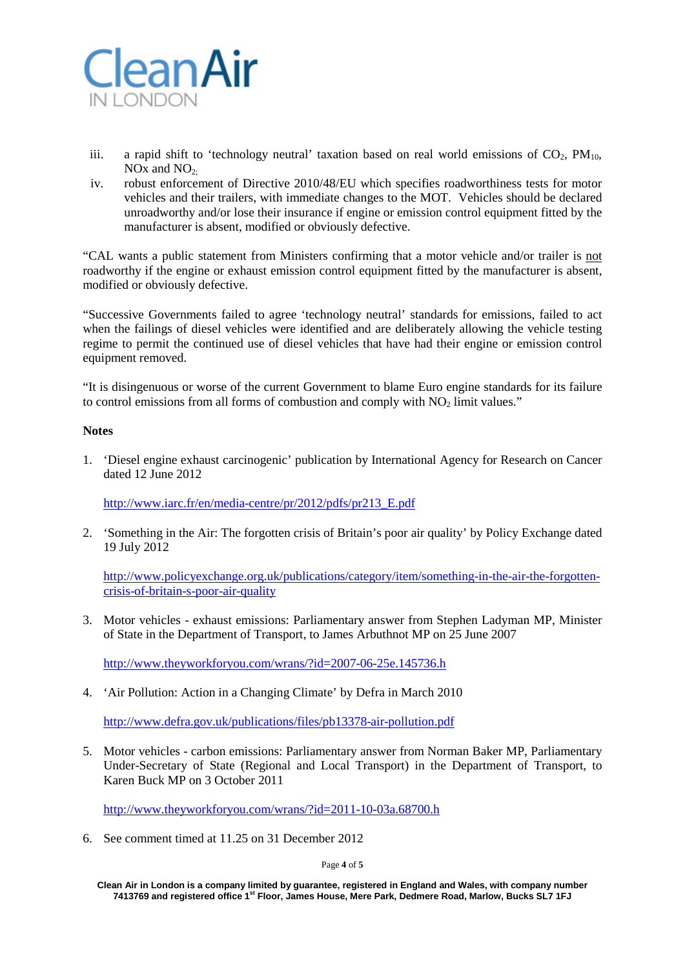

- iii. a rapid shift to 'technology neutral' taxation based on real world emissions of  $CO<sub>2</sub>$ ,  $PM<sub>10</sub>$ , NO<sub>x</sub> and  $NO<sub>2</sub>$ .
- iv. robust enforcement of Directive 2010/48/EU which specifies roadworthiness tests for motor vehicles and their trailers, with immediate changes to the MOT. Vehicles should be declared unroadworthy and/or lose their insurance if engine or emission control equipment fitted by the manufacturer is absent, modified or obviously defective.

"CAL wants a public statement from Ministers confirming that a motor vehicle and/or trailer is not roadworthy if the engine or exhaust emission control equipment fitted by the manufacturer is absent, modified or obviously defective.

"Successive Governments failed to agree 'technology neutral' standards for emissions, failed to act when the failings of diesel vehicles were identified and are deliberately allowing the vehicle testing regime to permit the continued use of diesel vehicles that have had their engine or emission control equipment removed.

"It is disingenuous or worse of the current Government to blame Euro engine standards for its failure to control emissions from all forms of combustion and comply with NO<sub>2</sub> limit values."

## **Notes**

1. 'Diesel engine exhaust carcinogenic' publication by International Agency for Research on Cancer dated 12 June 2012

[http://www.iarc.fr/en/media-centre/pr/2012/pdfs/pr213\\_E.pdf](http://www.iarc.fr/en/media-centre/pr/2012/pdfs/pr213_E.pdf)

2. 'Something in the Air: The forgotten crisis of Britain's poor air quality' by Policy Exchange dated 19 July 2012

[http://www.policyexchange.org.uk/publications/category/item/something-in-the-air-the-forgotten](http://www.policyexchange.org.uk/publications/category/item/something-in-the-air-the-forgotten-crisis-of-britain-s-poor-air-quality)[crisis-of-britain-s-poor-air-quality](http://www.policyexchange.org.uk/publications/category/item/something-in-the-air-the-forgotten-crisis-of-britain-s-poor-air-quality)

3. Motor vehicles - exhaust emissions: Parliamentary answer from Stephen Ladyman MP, Minister of State in the Department of Transport, to James Arbuthnot MP on 25 June 2007

<http://www.theyworkforyou.com/wrans/?id=2007-06-25e.145736.h>

4. 'Air Pollution: Action in a Changing Climate' by Defra in March 2010

<http://www.defra.gov.uk/publications/files/pb13378-air-pollution.pdf>

5. Motor vehicles - carbon emissions: Parliamentary answer from Norman Baker MP, Parliamentary Under-Secretary of State (Regional and Local Transport) in the Department of Transport, to Karen Buck MP on 3 October 2011

<http://www.theyworkforyou.com/wrans/?id=2011-10-03a.68700.h>

6. See comment timed at 11.25 on 31 December 2012

Page **4** of **5**

**Clean Air in London is a company limited by guarantee, registered in England and Wales, with company number 7413769 and registered office 1st Floor, James House, Mere Park, Dedmere Road, Marlow, Bucks SL7 1FJ**